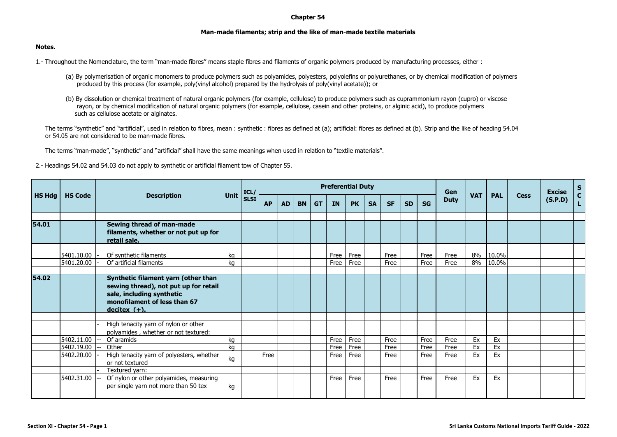## **Chapter 54**

## **Man-made filaments; strip and the like of man-made textile materials**

## **Notes.**

1.- Throughout the Nomenclature, the term "man-made fibres" means staple fibres and filaments of organic polymers produced by manufacturing processes, either :

- (a) By polymerisation of organic monomers to produce polymers such as polyamides, polyesters, polyolefins or polyurethanes, or by chemical modification of polymers produced by this process (for example, poly(vinyl alcohol) prepared by the hydrolysis of poly(vinyl acetate)); or
- (b) By dissolution or chemical treatment of natural organic polymers (for example, cellulose) to produce polymers such as cuprammonium rayon (cupro) or viscose rayon, or by chemical modification of natural organic polymers (for example, cellulose, casein and other proteins, or alginic acid), to produce polymers such as cellulose acetate or alginates.

The terms "synthetic" and "artificial", used in relation to fibres, mean : synthetic : fibres as defined at (a); artificial: fibres as defined at (b). Strip and the like of heading 54.04 or 54.05 are not considered to be man-made fibres.

The terms "man-made", "synthetic" and "artificial" shall have the same meanings when used in relation to "textile materials".

2.- Headings 54.02 and 54.03 do not apply to synthetic or artificial filament tow of Chapter 55.

|               |                          |                                                                                                                                                              |          | ICL/        | <b>Preferential Duty</b> |           |           |           |              |              |           |              |           |              | Gen          |            |                |             | <b>Excise</b> | $S_{C}$ |
|---------------|--------------------------|--------------------------------------------------------------------------------------------------------------------------------------------------------------|----------|-------------|--------------------------|-----------|-----------|-----------|--------------|--------------|-----------|--------------|-----------|--------------|--------------|------------|----------------|-------------|---------------|---------|
| <b>HS Hdg</b> | <b>HS Code</b>           | <b>Description</b>                                                                                                                                           | Unit     | <b>SLSI</b> | <b>AP</b>                | <b>AD</b> | <b>BN</b> | <b>GT</b> | <b>IN</b>    | <b>PK</b>    | <b>SA</b> | <b>SF</b>    | <b>SD</b> | <b>SG</b>    | <b>Duty</b>  | <b>VAT</b> | <b>PAL</b>     | <b>Cess</b> | (S.P.D)       |         |
| 54.01         |                          | Sewing thread of man-made<br>filaments, whether or not put up for<br>retail sale.                                                                            |          |             |                          |           |           |           |              |              |           |              |           |              |              |            |                |             |               |         |
|               | 5401.10.00<br>5401.20.00 | Of synthetic filaments<br>Of artificial filaments                                                                                                            | ka<br>ka |             |                          |           |           |           | Free<br>Free | Free<br>Free |           | Free<br>Free |           | Free<br>Free | Free<br>Free | 8%<br>8%   | 10.0%<br>10.0% |             |               |         |
| 54.02         |                          | Synthetic filament yarn (other than<br>sewing thread), not put up for retail<br>sale, including synthetic<br>monofilament of less than 67<br>$decitex (+)$ . |          |             |                          |           |           |           |              |              |           |              |           |              |              |            |                |             |               |         |
|               |                          | High tenacity yarn of nylon or other<br>polyamides, whether or not textured:                                                                                 |          |             |                          |           |           |           |              |              |           |              |           |              |              |            |                |             |               |         |
|               | 5402.11.00<br>5402.19.00 | Of aramids<br><b>Other</b>                                                                                                                                   | ka       |             |                          |           |           |           | Free<br>Free | Free<br>Free |           | Free<br>Free |           | Free<br>Free | Free<br>Free | Ex<br>Ex   | Ex<br>Ex       |             |               |         |
|               | 5402.20.00               | High tenacity yarn of polyesters, whether<br>or not textured                                                                                                 | kg<br>kg |             | Free                     |           |           |           | Free         | Free         |           | Free         |           | Free         | Free         | Ex         | Ex             |             |               |         |
|               | 5402.31.00               | Textured yarn:<br>Of nylon or other polyamides, measuring<br>per single yarn not more than 50 tex                                                            | kg       |             |                          |           |           |           | Free         | Free         |           | Free         |           | Free         | Free         | Ex         | Ex             |             |               |         |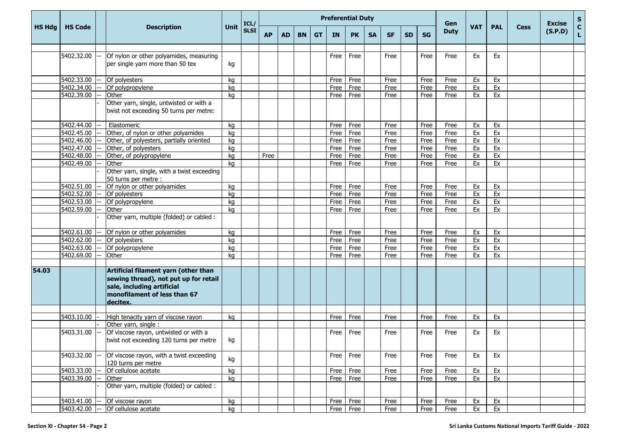|               |                |                                                                                                                                                         |      | ICL/        | <b>Preferential Duty</b> |           |           |           |           |               |           |           |           |           | Gen         |            |            |             | <b>Excise</b> | $\mathbf{s}$       |
|---------------|----------------|---------------------------------------------------------------------------------------------------------------------------------------------------------|------|-------------|--------------------------|-----------|-----------|-----------|-----------|---------------|-----------|-----------|-----------|-----------|-------------|------------|------------|-------------|---------------|--------------------|
| <b>HS Hdg</b> | <b>HS Code</b> | <b>Description</b>                                                                                                                                      | Unit | <b>SLSI</b> | <b>AP</b>                | <b>AD</b> | <b>BN</b> | <b>GT</b> | <b>IN</b> | <b>PK</b>     | <b>SA</b> | <b>SF</b> | <b>SD</b> | <b>SG</b> | <b>Duty</b> | <b>VAT</b> | <b>PAL</b> | <b>Cess</b> | (S.P.D)       | $\mathbf{C}$<br>L. |
|               |                |                                                                                                                                                         |      |             |                          |           |           |           |           |               |           |           |           |           |             |            |            |             |               |                    |
|               | 5402.32.00     | Of nylon or other polyamides, measuring<br>per single yarn more than 50 tex                                                                             | kg   |             |                          |           |           |           | Free      | Free          |           | Free      |           | Free      | Free        | Ex         | Ex         |             |               |                    |
|               | 5402.33.00     | Of polyesters                                                                                                                                           | kg   |             |                          |           |           |           | Free      | Free          |           | Free      |           | Free      | Free        | Ex         | Ex         |             |               |                    |
|               | 5402.34.00     | Of polypropylene                                                                                                                                        | kg   |             |                          |           |           |           | Free      | Free          |           | Free      |           | Free      | Free        | Ex         | Ex         |             |               |                    |
|               | 5402.39.00     | Other                                                                                                                                                   | kg   |             |                          |           |           |           | Free      | Free          |           | Free      |           | Free      | Free        | Ex         | Ex         |             |               |                    |
|               |                | Other yarn, single, untwisted or with a<br>twist not exceeding 50 turns per metre:                                                                      |      |             |                          |           |           |           |           |               |           |           |           |           |             |            |            |             |               |                    |
|               | 5402.44.00     | Elastomeric                                                                                                                                             | kg   |             |                          |           |           |           | Free      | Free          |           | Free      |           | Free      | Free        | Ex         | Ex         |             |               |                    |
|               | 5402.45.00     | Other, of nylon or other polyamides                                                                                                                     | kg   |             |                          |           |           |           | Free      | Free          |           | Free      |           | Free      | Free        | Ex         | Ex         |             |               |                    |
|               | 5402.46.00     | Other, of polyesters, partially oriented                                                                                                                | kg   |             |                          |           |           |           | Free      | Free          |           | Free      |           | Free      | Free        | Ex         | Ex         |             |               |                    |
|               | 5402.47.00     | Other, of polyesters                                                                                                                                    | kg   |             |                          |           |           |           | Free      | Free          |           | Free      |           | Free      | Free        | Ex         | Ex         |             |               |                    |
|               | 5402.48.00     | Other, of polypropylene                                                                                                                                 | kg   |             | Free                     |           |           |           | Free      | Free          |           | Free      |           | Free      | Free        | Ex         | Ex         |             |               |                    |
|               | 5402.49.00     | Other                                                                                                                                                   | ka   |             |                          |           |           |           | Free      | Free          |           | Free      |           | Free      | Free        | Ex         | Ex         |             |               |                    |
|               |                | Other yarn, single, with a twist exceeding<br>50 turns per metre :                                                                                      |      |             |                          |           |           |           |           |               |           |           |           |           |             |            |            |             |               |                    |
|               | 5402.51.00     | Of nylon or other polyamides                                                                                                                            | kg   |             |                          |           |           |           | Free      | Free          |           | Free      |           | Free      | Free        | Ex         | Ex         |             |               |                    |
|               | 5402.52.00     | Of polyesters                                                                                                                                           | kg   |             |                          |           |           |           | Free      | Free          |           | Free      |           | Free      | Free        | Ex         | Ex         |             |               |                    |
|               | 5402.53.00     | Of polypropylene                                                                                                                                        | kg   |             |                          |           |           |           | Free      | Free          |           | Free      |           | Free      | Free        | Ex         | Ex         |             |               |                    |
|               | 5402.59.00     | Other                                                                                                                                                   | kg   |             |                          |           |           |           | Free      | Free          |           | Free      |           | Free      | Free        | Ex         | Ex         |             |               |                    |
|               |                | Other yarn, multiple (folded) or cabled :                                                                                                               |      |             |                          |           |           |           |           |               |           |           |           |           |             |            |            |             |               |                    |
|               | 5402.61.00     | Of nylon or other polyamides                                                                                                                            | kg   |             |                          |           |           |           | Free      | Free          |           | Free      |           | Free      | Free        | Ex         | Ex         |             |               |                    |
|               | 5402.62.00     | Of polyesters                                                                                                                                           | kg   |             |                          |           |           |           | Free      | Free          |           | Free      |           | Free      | Free        | Ex         | Ex         |             |               |                    |
|               | 5402.63.00     | Of polypropylene                                                                                                                                        | kg   |             |                          |           |           |           | Free      | Free          |           | Free      |           | Free      | Free        | Ex         | Ex         |             |               |                    |
|               | 5402.69.00     | Other                                                                                                                                                   | kg   |             |                          |           |           |           | Free      | Free          |           | Free      |           | Free      | Free        | Ex         | Ex         |             |               |                    |
| 54.03         |                | Artificial filament yarn (other than<br>sewing thread), not put up for retail<br>sale, including artificial<br>monofilament of less than 67<br>decitex. |      |             |                          |           |           |           |           |               |           |           |           |           |             |            |            |             |               |                    |
|               | 5403.10.00     | High tenacity yarn of viscose rayon                                                                                                                     | kg   |             |                          |           |           |           | Free      | Free          |           | Free      |           | Free      | Free        | Ex         | Ex         |             |               |                    |
|               |                | Other yarn, single:                                                                                                                                     |      |             |                          |           |           |           |           |               |           |           |           |           |             |            |            |             |               |                    |
|               | 5403.31.00     | Of viscose rayon, untwisted or with a<br>twist not exceeding 120 turns per metre                                                                        | kg   |             |                          |           |           |           | Free      | Free          |           | Free      |           | Free      | Free        | Ex         | Ex         |             |               |                    |
|               | 5403.32.00     | Of viscose rayon, with a twist exceeding<br>120 turns per metre                                                                                         | kg   |             |                          |           |           |           | Free      | Free          |           | Free      |           | Free      | Free        | Ex         | Ex         |             |               |                    |
|               | 5403.33.00     | Of cellulose acetate                                                                                                                                    | kg   |             |                          |           |           |           | Free      | Free          |           | Free      |           | Free      | Free        | Ex         | Ex         |             |               |                    |
|               | 5403.39.00     | Other                                                                                                                                                   | kg   |             |                          |           |           |           | Free      | Free          |           | Free      |           | Free      | Free        | Ex         | Ex         |             |               |                    |
|               |                | Other yarn, multiple (folded) or cabled :                                                                                                               |      |             |                          |           |           |           |           |               |           |           |           |           |             |            |            |             |               |                    |
|               | 5403.41.00     | -- Of viscose rayon                                                                                                                                     | kg   |             |                          |           |           |           |           | $Free$   Free |           | Free      |           | Free      | Free        | Ex         | Ex         |             |               |                    |
|               | 5403.42.00 --  | Of cellulose acetate                                                                                                                                    | kg   |             |                          |           |           |           |           | Free Free     |           | Free      |           | Free      | Free        | Ex         | Ex         |             |               |                    |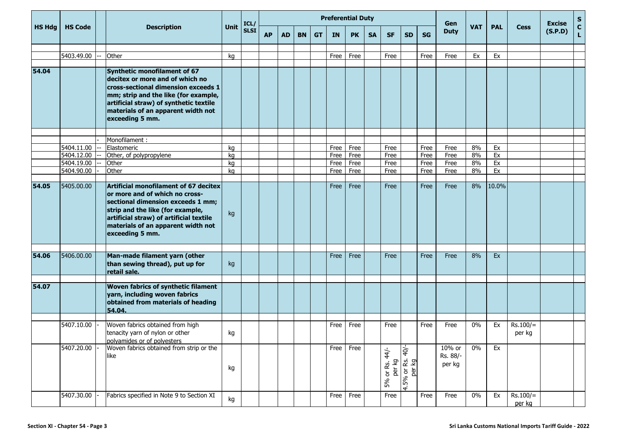|               |                |                                                                                                                                                                                                                                                      |      | ICL/        | <b>Preferential Duty</b> |           |           |           |           |           |           |                              |                                         |           | Gen                          |            |            |                      | <b>Excise</b> | S                  |
|---------------|----------------|------------------------------------------------------------------------------------------------------------------------------------------------------------------------------------------------------------------------------------------------------|------|-------------|--------------------------|-----------|-----------|-----------|-----------|-----------|-----------|------------------------------|-----------------------------------------|-----------|------------------------------|------------|------------|----------------------|---------------|--------------------|
| <b>HS Hdg</b> | <b>HS Code</b> | <b>Description</b>                                                                                                                                                                                                                                   | Unit | <b>SLSI</b> | <b>AP</b>                | <b>AD</b> | <b>BN</b> | <b>GT</b> | <b>IN</b> | <b>PK</b> | <b>SA</b> | <b>SF</b>                    | <b>SD</b>                               | <b>SG</b> | <b>Duty</b>                  | <b>VAT</b> | <b>PAL</b> | <b>Cess</b>          | (S.P.D)       | $\mathbf{C}$<br>L. |
|               |                |                                                                                                                                                                                                                                                      |      |             |                          |           |           |           |           |           |           |                              |                                         |           |                              |            |            |                      |               |                    |
|               | 5403.49.00     | Other                                                                                                                                                                                                                                                | kg   |             |                          |           |           |           | Free      | Free      |           | Free                         |                                         | Free      | Free                         | Ex         | Ex         |                      |               |                    |
| 54.04         |                | Synthetic monofilament of 67<br>decitex or more and of which no<br>cross-sectional dimension exceeds 1<br>mm; strip and the like (for example,<br>artificial straw) of synthetic textile<br>materials of an apparent width not<br>exceeding 5 mm.    |      |             |                          |           |           |           |           |           |           |                              |                                         |           |                              |            |            |                      |               |                    |
|               |                | $\overline{\mathsf{Monofilament}}$ :                                                                                                                                                                                                                 |      |             |                          |           |           |           |           |           |           |                              |                                         |           |                              |            |            |                      |               |                    |
|               | 5404.11.00     | Elastomeric                                                                                                                                                                                                                                          | kg   |             |                          |           |           |           | Free      | Free      |           | Free                         |                                         | Free      | Free                         | 8%         | Ex         |                      |               |                    |
|               | 5404.12.00     | Other, of polypropylene                                                                                                                                                                                                                              | kg   |             |                          |           |           |           | Free      | Free      |           | Free                         |                                         | Free      | Free                         | 8%         | Ex         |                      |               |                    |
|               | 5404.19.00     | Other                                                                                                                                                                                                                                                | kg   |             |                          |           |           |           | Free      | Free      |           | Free                         |                                         | Free      | Free                         | 8%         | Ex         |                      |               |                    |
|               | 5404.90.00     | Other                                                                                                                                                                                                                                                | kg   |             |                          |           |           |           | Free      | Free      |           | Free                         |                                         | Free      | Free                         | 8%         | Ex         |                      |               |                    |
| 54.05         | 5405.00.00     | Artificial monofilament of 67 decitex<br>or more and of which no cross-<br>sectional dimension exceeds 1 mm;<br>strip and the like (for example,<br>artificial straw) of artificial textile<br>materials of an apparent width not<br>exceeding 5 mm. | kg   |             |                          |           |           |           | Free      | Free      |           | Free                         |                                         | Free      | Free                         | 8%         | 10.0%      |                      |               |                    |
| 54.06         | 5406.00.00     | Man-made filament yarn (other<br>than sewing thread), put up for<br>retail sale.                                                                                                                                                                     | kg   |             |                          |           |           |           | Free      | Free      |           | Free                         |                                         | Free      | Free                         | 8%         | Ex         |                      |               |                    |
| 54.07         |                | <b>Woven fabrics of synthetic filament</b><br>yarn, including woven fabrics<br>obtained from materials of heading<br>54.04.                                                                                                                          |      |             |                          |           |           |           |           |           |           |                              |                                         |           |                              |            |            |                      |               |                    |
|               | 5407.10.00     | Woven fabrics obtained from high                                                                                                                                                                                                                     |      |             |                          |           |           |           | Free      | Free      |           | Free                         |                                         | Free      | Free                         | 0%         | Ex         | $Rs.100/=$           |               |                    |
|               |                | tenacity yarn of nylon or other<br>polyamides or of polyesters                                                                                                                                                                                       | kg   |             |                          |           |           |           |           |           |           |                              |                                         |           |                              |            |            | per kg               |               |                    |
|               | 5407.20.00     | Woven fabrics obtained from strip or the<br>like                                                                                                                                                                                                     | kg   |             |                          |           |           |           | Free      | Free      |           | $44-$<br>per kg<br>5% or Rs. | $-107$<br>or Rs.<br>per kg<br>4.5% or l |           | 10% or<br>Rs. 88/-<br>per kg | $0\%$      | Ex         |                      |               |                    |
|               | 5407.30.00     | Fabrics specified in Note 9 to Section XI                                                                                                                                                                                                            | kg   |             |                          |           |           |           | Free      | Free      |           | Free                         |                                         | Free      | Free                         | 0%         | Ex         | $Rs.100/=$<br>per kg |               |                    |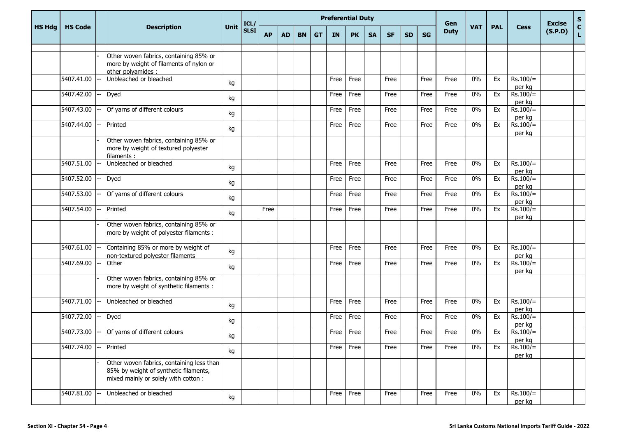|               |                |                                                                                                                            |      | ICL/        | <b>Preferential Duty</b> |           |           |           |           |           |           |           |           |           | Gen         |            |            |                      | <b>Excise</b> | $\mathbf S$                  |
|---------------|----------------|----------------------------------------------------------------------------------------------------------------------------|------|-------------|--------------------------|-----------|-----------|-----------|-----------|-----------|-----------|-----------|-----------|-----------|-------------|------------|------------|----------------------|---------------|------------------------------|
| <b>HS Hdg</b> | <b>HS Code</b> | <b>Description</b>                                                                                                         | Unit | <b>SLSI</b> | <b>AP</b>                | <b>AD</b> | <b>BN</b> | <b>GT</b> | <b>IN</b> | <b>PK</b> | <b>SA</b> | <b>SF</b> | <b>SD</b> | <b>SG</b> | <b>Duty</b> | <b>VAT</b> | <b>PAL</b> | <b>Cess</b>          | (S.P.D)       | $\mathbf{C}$<br>$\mathbf{L}$ |
|               |                |                                                                                                                            |      |             |                          |           |           |           |           |           |           |           |           |           |             |            |            |                      |               |                              |
|               |                | Other woven fabrics, containing 85% or<br>more by weight of filaments of nylon or<br>other polyamides :                    |      |             |                          |           |           |           |           |           |           |           |           |           |             |            |            |                      |               |                              |
|               | 5407.41.00     | Unbleached or bleached                                                                                                     | kg   |             |                          |           |           |           | Free      | Free      |           | Free      |           | Free      | Free        | 0%         | Ex         | $Rs.100/=$<br>per kg |               |                              |
|               | 5407.42.00     | Dyed                                                                                                                       | kg   |             |                          |           |           |           | Free      | Free      |           | Free      |           | Free      | Free        | 0%         | Ex         | $Rs.100/=$<br>per kg |               |                              |
|               | 5407.43.00     | Of yarns of different colours                                                                                              | kg   |             |                          |           |           |           | Free      | Free      |           | Free      |           | Free      | Free        | 0%         | Ex         | $Rs.100/=$<br>per kg |               |                              |
|               | 5407.44.00     | Printed                                                                                                                    | kg   |             |                          |           |           |           | Free      | Free      |           | Free      |           | Free      | Free        | 0%         | Ex         | $Rs.100/=$<br>per kg |               |                              |
|               |                | Other woven fabrics, containing 85% or<br>more by weight of textured polyester<br>filaments:                               |      |             |                          |           |           |           |           |           |           |           |           |           |             |            |            |                      |               |                              |
|               | 5407.51.00     | Unbleached or bleached                                                                                                     | kg   |             |                          |           |           |           | Free      | Free      |           | Free      |           | Free      | Free        | 0%         | Ex         | $Rs.100/=$<br>per kg |               |                              |
|               | 5407.52.00     | <b>Dyed</b>                                                                                                                | kg   |             |                          |           |           |           | Free      | Free      |           | Free      |           | Free      | Free        | 0%         | Ex         | $Rs.100/=$<br>per kg |               |                              |
|               | 5407.53.00     | Of yarns of different colours                                                                                              | kg   |             |                          |           |           |           | Free      | Free      |           | Free      |           | Free      | Free        | 0%         | Ex         | $Rs.100/=$<br>per kg |               |                              |
|               | 5407.54.00     | Printed                                                                                                                    | kg   |             | Free                     |           |           |           | Free      | Free      |           | Free      |           | Free      | Free        | $0\%$      | Ex         | $Rs.100/=$<br>per kg |               |                              |
|               |                | Other woven fabrics, containing 85% or<br>more by weight of polyester filaments :                                          |      |             |                          |           |           |           |           |           |           |           |           |           |             |            |            |                      |               |                              |
|               | 5407.61.00     | Containing 85% or more by weight of<br>non-textured polyester filaments                                                    | kg   |             |                          |           |           |           | Free      | Free      |           | Free      |           | Free      | Free        | 0%         | Ex         | $Rs.100/=$<br>per kg |               |                              |
|               | 5407.69.00     | Other                                                                                                                      | kg   |             |                          |           |           |           | Free      | Free      |           | Free      |           | Free      | Free        | 0%         | Ex         | $Rs.100/=$<br>per kg |               |                              |
|               |                | Other woven fabrics, containing 85% or<br>more by weight of synthetic filaments :                                          |      |             |                          |           |           |           |           |           |           |           |           |           |             |            |            |                      |               |                              |
|               | 5407.71.00     | Unbleached or bleached                                                                                                     | kg   |             |                          |           |           |           | Free      | Free      |           | Free      |           | Free      | Free        | 0%         | Ex         | $Rs.100/=$<br>per kg |               |                              |
|               | 5407.72.00     | <b>Dyed</b>                                                                                                                | kg   |             |                          |           |           |           | Free      | Free      |           | Free      |           | Free      | Free        | 0%         | Ex         | $Rs.100/=$<br>per kg |               |                              |
|               | 5407.73.00     | Of yarns of different colours                                                                                              | kg   |             |                          |           |           |           | Free      | Free      |           | Free      |           | Free      | Free        | 0%         | Ex         | $Rs.100/=$<br>per kg |               |                              |
|               | 5407.74.00     | Printed                                                                                                                    | kg   |             |                          |           |           |           | Free      | Free      |           | Free      |           | Free      | Free        | 0%         | Ex         | $Rs.100/=$<br>per kg |               |                              |
|               |                | Other woven fabrics, containing less than<br>85% by weight of synthetic filaments,<br>mixed mainly or solely with cotton : |      |             |                          |           |           |           |           |           |           |           |           |           |             |            |            |                      |               |                              |
|               | 5407.81.00     | Unbleached or bleached                                                                                                     | kg   |             |                          |           |           |           | Free      | Free      |           | Free      |           | Free      | Free        | 0%         | Ex         | $Rs.100/=$<br>per kg |               |                              |